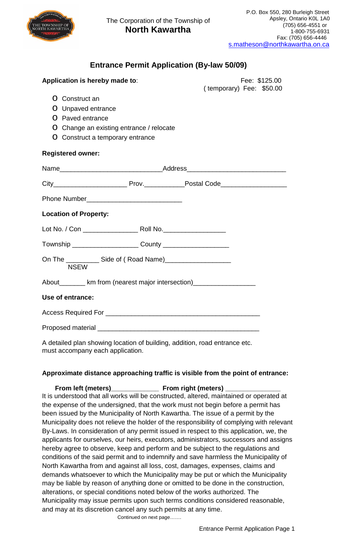

## **Entrance Permit Application (By-law 50/09)**

| Application is hereby made to:                                                   |  |  | Fee: \$125.00            |  |  |
|----------------------------------------------------------------------------------|--|--|--------------------------|--|--|
|                                                                                  |  |  | (temporary) Fee: \$50.00 |  |  |
| O Construct an                                                                   |  |  |                          |  |  |
| O Unpaved entrance                                                               |  |  |                          |  |  |
| Paved entrance<br>∩                                                              |  |  |                          |  |  |
| O Change an existing entrance / relocate                                         |  |  |                          |  |  |
| O Construct a temporary entrance                                                 |  |  |                          |  |  |
| <b>Registered owner:</b>                                                         |  |  |                          |  |  |
|                                                                                  |  |  |                          |  |  |
|                                                                                  |  |  |                          |  |  |
|                                                                                  |  |  |                          |  |  |
| <b>Location of Property:</b>                                                     |  |  |                          |  |  |
|                                                                                  |  |  |                          |  |  |
| Township ______________________________County __________________________________ |  |  |                          |  |  |
| <b>NSEW</b>                                                                      |  |  |                          |  |  |
| About_________ km from (nearest major intersection)____________________          |  |  |                          |  |  |
| Use of entrance:                                                                 |  |  |                          |  |  |
|                                                                                  |  |  |                          |  |  |
|                                                                                  |  |  |                          |  |  |

A detailed plan showing location of building, addition, road entrance etc. must accompany each application.

## **Approximate distance approaching traffic is visible from the point of entrance:**

 **From left (meters)\_\_\_\_\_\_\_\_\_\_\_\_\_ From right (meters) \_\_\_\_\_\_\_\_\_\_\_\_\_\_\_** It is understood that all works will be constructed, altered, maintained or operated at the expense of the undersigned, that the work must not begin before a permit has been issued by the Municipality of North Kawartha. The issue of a permit by the Municipality does not relieve the holder of the responsibility of complying with relevant By-Laws. In consideration of any permit issued in respect to this application, we, the applicants for ourselves, our heirs, executors, administrators, successors and assigns hereby agree to observe, keep and perform and be subject to the regulations and conditions of the said permit and to indemnify and save harmless the Municipality of North Kawartha from and against all loss, cost, damages, expenses, claims and demands whatsoever to which the Municipality may be put or which the Municipality may be liable by reason of anything done or omitted to be done in the construction, alterations, or special conditions noted below of the works authorized. The Municipality may issue permits upon such terms conditions considered reasonable, and may at its discretion cancel any such permits at any time.

Continued on next page…….